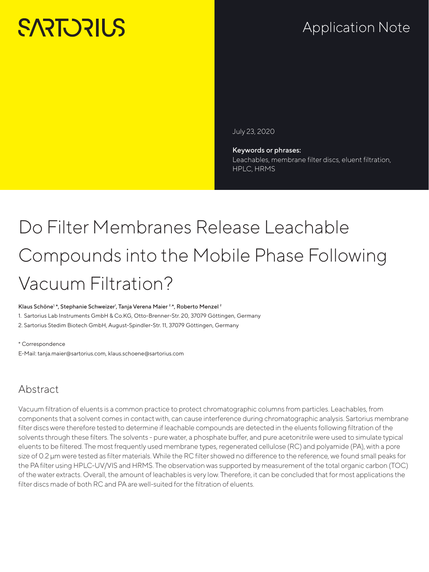# **SARTORILS**

## Application Note

July 23, 2020

Keywords or phrases: Leachables, membrane filter discs, eluent filtration, HPLC, HRMS

# Do Filter Membranes Release Leachable Compounds into the Mobile Phase Following Vacuum Filtration?

#### Klaus Schöne<sup>1,</sup>\*, Stephanie Schweizer<sup>1</sup>, Tanja Verena Maier<sup>2,\*</sup>, Roberto Menzel<sup>2</sup>

1. Sartorius Lab Instruments GmbH & Co.KG, Otto-Brenner-Str. 20, 37079 Göttingen, Germany

2. Sartorius Stedim Biotech GmbH, August-Spindler-Str. 11, 37079 Göttingen, Germany

#### \* Correspondence

E-Mail: tanja.maier@sartorius.com, klaus.schoene@sartorius.com

### Abstract

Vacuum filtration of eluents is a common practice to protect chromatographic columns from particles. Leachables, from components that a solvent comes in contact with, can cause interference during chromatographic analysis. Sartorius membrane filter discs were therefore tested to determine if leachable compounds are detected in the eluents following filtration of the solvents through these filters. The solvents - pure water, a phosphate buffer, and pure acetonitrile were used to simulate typical eluents to be filtered. The most frequently used membrane types, regenerated cellulose (RC) and polyamide (PA), with a pore size of 0.2 µm were tested as filter materials. While the RC filter showed no difference to the reference, we found small peaks for the PA filter using HPLC-UV/VIS and HRMS. The observation was supported by measurement of the total organic carbon (TOC) of the water extracts. Overall, the amount of leachables is very low. Therefore, it can be concluded that for most applications the filter discs made of both RC and PA are well-suited for the filtration of eluents.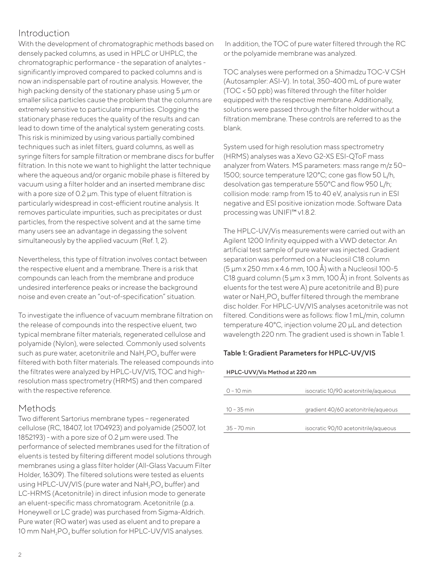#### Introduction

With the development of chromatographic methods based on densely packed columns, as used in HPLC or UHPLC, the chromatographic performance - the separation of analytes significantly improved compared to packed columns and is now an indispensable part of routine analysis. However, the high packing density of the stationary phase using 5 µm or smaller silica particles cause the problem that the columns are extremely sensitive to particulate impurities. Clogging the stationary phase reduces the quality of the results and can lead to down time of the analytical system generating costs. This risk is minimized by using various partially combined techniques such as inlet filters, guard columns, as well as syringe filters for sample filtration or membrane discs for buffer filtration. In this note we want to highlight the latter technique where the aqueous and/or organic mobile phase is filtered by vacuum using a filter holder and an inserted membrane disc with a pore size of 0.2  $\mu$ m. This type of eluent filtration is particularly widespread in cost-efficient routine analysis. It removes particulate impurities, such as precipitates or dust particles, from the respective solvent and at the same time many users see an advantage in degassing the solvent simultaneously by the applied vacuum (Ref. 1, 2).

Nevertheless, this type of filtration involves contact between the respective eluent and a membrane. There is a risk that compounds can leach from the membrane and produce undesired interference peaks or increase the background noise and even create an "out-of-specification" situation.

To investigate the influence of vacuum membrane filtration on the release of compounds into the respective eluent, two typical membrane filter materials, regenerated cellulose and polyamide (Nylon), were selected. Commonly used solvents such as pure water, acetonitrile and NaH<sub>2</sub>PO<sub>4</sub> buffer were filtered with both filter materials. The released compounds into the filtrates were analyzed by HPLC-UV/VIS, TOC and highresolution mass spectrometry (HRMS) and then compared with the respective reference.

#### Methods

Two different Sartorius membrane types – regenerated cellulose (RC, 18407, lot 1704923) and polyamide (25007, lot 1852193) - with a pore size of 0.2 µm were used. The performance of selected membranes used for the filtration of eluents is tested by filtering different model solutions through membranes using a glass filter holder (All-Glass Vacuum Filter Holder, 16309). The filtered solutions were tested as eluents using HPLC-UV/VIS (pure water and NaH<sub>2</sub>PO<sub>4</sub> buffer) and LC-HRMS (Acetonitrile) in direct infusion mode to generate an eluent-specific mass chromatogram. Acetonitrile (p.a. Honeywell or LC grade) was purchased from Sigma-Aldrich. Pure water (RO water) was used as eluent and to prepare a 10 mm NaH<sub>2</sub>PO<sub>4</sub> buffer solution for HPLC-UV/VIS analyses.

 In addition, the TOC of pure water filtered through the RC or the polyamide membrane was analyzed.

TOC analyses were performed on a Shimadzu TOC-V CSH (Autosampler: ASI-V). In total, 350-400 mL of pure water (TOC < 50 ppb) was filtered through the filter holder equipped with the respective membrane. Additionally, solutions were passed through the filter holder without a filtration membrane. These controls are referred to as the blank.

System used for high resolution mass spectrometry (HRMS) analyses was a Xevo G2-XS ESI-QToF mass analyzer from Waters. MS parameters: mass range m/z 50– 1500; source temperature 120°C; cone gas flow 50 L/h, desolvation gas temperature 550°C and flow 950 L/h; collision mode: ramp from 15 to 40 eV, analysis run in ESI negative and ESI positive ionization mode. Software Data processing was UNIFI™ v1.8.2.

The HPLC-UV/Vis measurements were carried out with an Agilent 1200 Infinity equipped with a VWD detector. An artificial test sample of pure water was injected. Gradient separation was performed on a Nucleosil C18 column (5 µm x 250 mm x 4.6 mm, 100 Å) with a Nucleosil 100-5 C18 guard column (5 µm x 3 mm, 100 Å) in front. Solvents as eluents for the test were A) pure acetonitrile and B) pure water or NaH<sub>2</sub>PO<sub>4</sub> buffer filtered through the membrane disc holder. For HPLC-UV/VIS analyses acetonitrile was not filtered. Conditions were as follows: flow 1 mL/min, column temperature 40°C, injection volume 20 µL and detection wavelength 220 nm. The gradient used is shown in Table 1.

#### Table 1: Gradient Parameters for HPLC-UV/VIS

#### HPLC-UVV/Vis Method at 220 nm

| $0 - 10$ min  | isocratic 10/90 acetonitrile/aqueous |
|---------------|--------------------------------------|
| $10 - 35$ min | gradient 40/60 acetonitrile/agueous  |
| $35 - 70$ min | isocratic 90/10 acetonitrile/aqueous |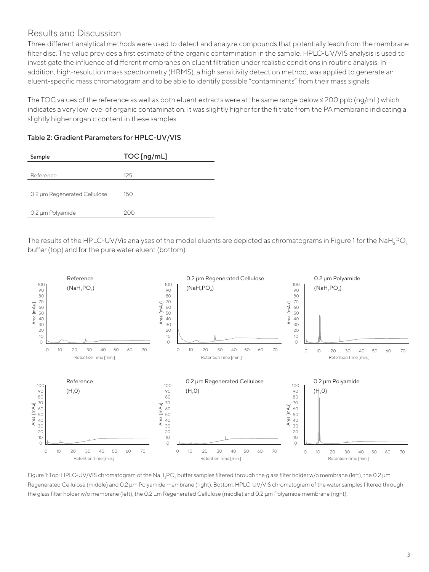#### Results and Discussion

Three different analytical methods were used to detect and analyze compounds that potentially leach from the membrane filter disc. The value provides a first estimate of the organic contamination in the sample. HPLC-UV/VIS analysis is used to investigate the influence of different membranes on eluent filtration under realistic conditions in routine analysis. In addition, high-resolution mass spectrometry (HRMS), a high sensitivity detection method, was applied to generate an eluent-specific mass chromatogram and to be able to identify possible "contaminants" from their mass signals.

The TOC values of the reference as well as both eluent extracts were at the same range below ≤ 200 ppb (ng/mL) which indicates a very low level of organic contamination. It was slightly higher for the filtrate from the PA membrane indicating a slightly higher organic content in these samples.

| Sample                       | TOC [ng/mL] |
|------------------------------|-------------|
|                              |             |
| Reference                    | 125         |
|                              |             |
| 0.2 µm Regenerated Cellulose | 150         |
|                              |             |
| 0.2 µm Polyamide             | 200         |

Table 2: Gradient Parameters for HPLC-UV/VIS

The results of the HPLC-UV/Vis analyses of the model eluents are depicted as chromatograms in Figure 1 for the NaH<sub>2</sub>PO<sub>4</sub> buffer (top) and for the pure water eluent (bottom).



Figure 1: Top: HPLC-UV/VIS chromatogram of the NaH<sub>2</sub>PO<sub>4</sub> buffer samples filtered through the glass filter holder w/o membrane (left), the 0.2 µm Regenerated Cellulose (middle) and 0.2 µm Polyamide membrane (right). Bottom: HPLC-UV/VIS chromatogram of the water samples filtered through the glass filter holder w/o membrane (left), the 0.2 µm Regenerated Cellulose (middle) and 0.2 µm Polyamide membrane (right).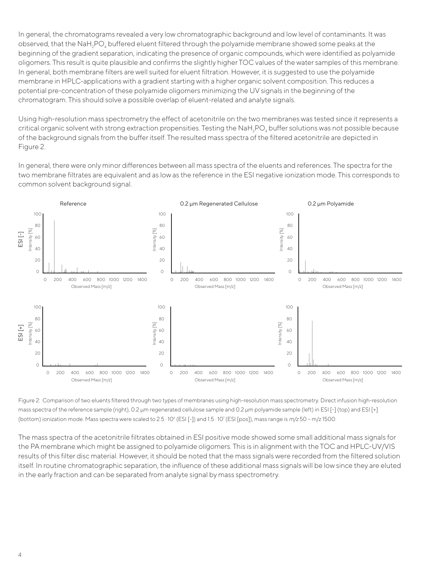In general, the chromatograms revealed a very low chromatographic background and low level of contaminants. It was observed, that the NaH<sub>2</sub>PO<sub>4</sub> buffered eluent filtered through the polyamide membrane showed some peaks at the beginning of the gradient separation, indicating the presence of organic compounds, which were identified as polyamide oligomers. This result is quite plausible and confirms the slightly higher TOC values of the water samples of this membrane. In general, both membrane filters are well suited for eluent filtration. However, it is suggested to use the polyamide membrane in HPLC-applications with a gradient starting with a higher organic solvent composition. This reduces a potential pre-concentration of these polyamide oligomers minimizing the UV signals in the beginning of the chromatogram. This should solve a possible overlap of eluent-related and analyte signals.

Using high-resolution mass spectrometry the effect of acetonitrile on the two membranes was tested since it represents a critical organic solvent with strong extraction propensities. Testing the NaH<sub>2</sub>PO<sub>4</sub> buffer solutions was not possible because of the background signals from the buffer itself. The resulted mass spectra of the filtered acetonitrile are depicted in Figure 2.

In general, there were only minor differences between all mass spectra of the eluents and references. The spectra for the two membrane filtrates are equivalent and as low as the reference in the ESI negative ionization mode. This corresponds to common solvent background signal.



Figure 2: Comparison of two eluents filtered through two types of membranes using high-resolution mass spectrometry. Direct infusion high-resolution mass spectra of the reference sample (right), 0.2 µm regenerated cellulose sample and 0.2 µm polyamide sample (left) in ESI [-] (top) and ESI [+] (bottom) ionization mode. Mass spectra were scaled to 2.5  $\cdot$  10<sup>6</sup> (ESI [-]) and 1.5  $\cdot$  10<sup>7</sup> (ESI [pos]), mass range is *m*/z 50 - m/z 1500.

The mass spectra of the acetonitrile filtrates obtained in ESI positive mode showed some small additional mass signals for the PA membrane which might be assigned to polyamide oligomers. This is in alignment with the TOC and HPLC-UV/VIS results of this filter disc material. However, it should be noted that the mass signals were recorded from the filtered solution itself. In routine chromatographic separation, the influence of these additional mass signals will be low since they are eluted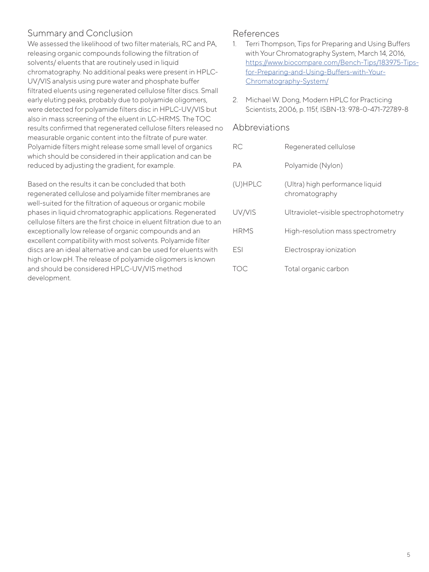#### Summary and Conclusion

We assessed the likelihood of two filter materials, RC and PA, releasing organic compounds following the filtration of solvents/ eluents that are routinely used in liquid chromatography. No additional peaks were present in HPLC-UV/VIS analysis using pure water and phosphate buffer filtrated eluents using regenerated cellulose filter discs. Small early eluting peaks, probably due to polyamide oligomers, were detected for polyamide filters disc in HPLC-UV/VIS but also in mass screening of the eluent in LC-HRMS. The TOC results confirmed that regenerated cellulose filters released no measurable organic content into the filtrate of pure water. Polyamide filters might release some small level of organics which should be considered in their application and can be reduced by adjusting the gradient, for example.

Based on the results it can be concluded that both regenerated cellulose and polyamide filter membranes are well-suited for the filtration of aqueous or organic mobile phases in liquid chromatographic applications. Regenerated cellulose filters are the first choice in eluent filtration due to an exceptionally low release of organic compounds and an excellent compatibility with most solvents. Polyamide filter discs are an ideal alternative and can be used for eluents with high or low pH. The release of polyamide oligomers is known and should be considered HPLC-UV/VIS method development.

#### References

- 1. Terri Thompson, Tips for Preparing and Using Buffers with Your Chromatography System, March 14, 2016, [https://www.biocompare.com/Bench-Tips/183975-Tips](https://www.biocompare.com/Bench-Tips/183975-Tips-for-Preparing-and-Using-Buffers-with-Your-Chromatography-System/)[for-Preparing-and-Using-Buffers-with-Your-](https://www.biocompare.com/Bench-Tips/183975-Tips-for-Preparing-and-Using-Buffers-with-Your-Chromatography-System/)[Chromatography-System/](https://www.biocompare.com/Bench-Tips/183975-Tips-for-Preparing-and-Using-Buffers-with-Your-Chromatography-System/)
- 2. Michael W. Dong, Modern HPLC for Practicing Scientists, 2006, p. 115f, ISBN-13: 978-0-471-72789-8

#### Abbreviations

| RC.                                                 | Regenerated cellulose                             |
|-----------------------------------------------------|---------------------------------------------------|
| PА                                                  | Polyamide (Nylon)                                 |
| $(U)$ HPLC                                          | (Ultra) high performance liquid<br>chromatography |
| UV/VIS                                              | Ultraviolet-visible spectrophotometry             |
| <b>HRMS</b>                                         | High-resolution mass spectrometry                 |
| FSI                                                 | Electrospray ionization                           |
| $\left( \begin{array}{c} \cdot \end{array} \right)$ | Total organic carbon                              |